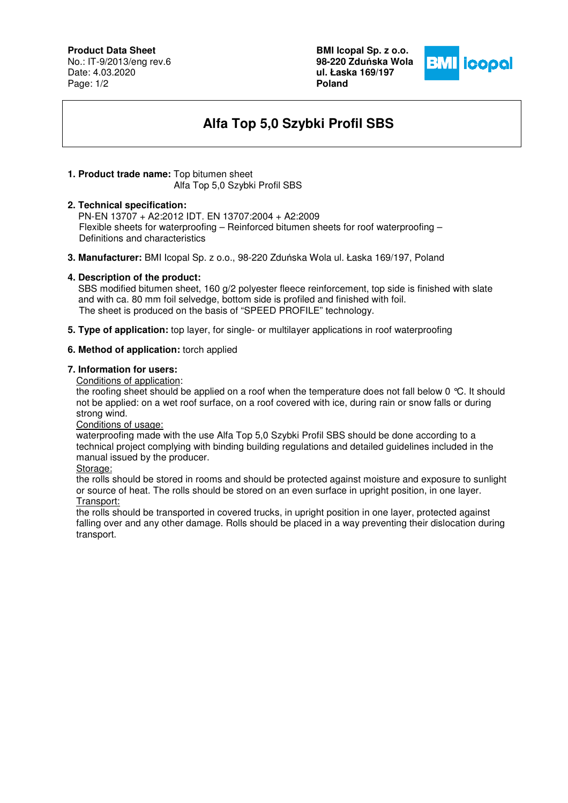## **Product Data Sheet**

No.: IT-9/2013/eng rev.6 Date: 4.03.2020 Page: 1/2

**BMI Icopal Sp. z o.o. 98-220 Zdu**ń**ska Wola ul. Łaska 169/197 Poland** 



# **Alfa Top 5,0 Szybki Profil SBS**

#### **1. Product trade name:** Top bitumen sheet Alfa Top 5,0 Szybki Profil SBS

#### **2. Technical specification:**

PN-EN 13707 + A2:2012 IDT. EN 13707:2004 + A2:2009 Flexible sheets for waterproofing – Reinforced bitumen sheets for roof waterproofing – Definitions and characteristics

**3. Manufacturer:** BMI Icopal Sp. z o.o., 98-220 Zduńska Wola ul. Łaska 169/197, Poland

## **4. Description of the product:**

 SBS modified bitumen sheet, 160 g/2 polyester fleece reinforcement, top side is finished with slate and with ca. 80 mm foil selvedge, bottom side is profiled and finished with foil. The sheet is produced on the basis of "SPEED PROFILE" technology.

**5. Type of application:** top layer, for single- or multilayer applications in roof waterproofing

#### **6. Method of application:** torch applied

## **7. Information for users:**

Conditions of application:

the roofing sheet should be applied on a roof when the temperature does not fall below 0 °C. It should not be applied: on a wet roof surface, on a roof covered with ice, during rain or snow falls or during strong wind.

Conditions of usage:

waterproofing made with the use Alfa Top 5,0 Szybki Profil SBS should be done according to a technical project complying with binding building regulations and detailed guidelines included in the manual issued by the producer.

Storage:

the rolls should be stored in rooms and should be protected against moisture and exposure to sunlight or source of heat. The rolls should be stored on an even surface in upright position, in one layer. Transport:

the rolls should be transported in covered trucks, in upright position in one layer, protected against falling over and any other damage. Rolls should be placed in a way preventing their dislocation during transport.